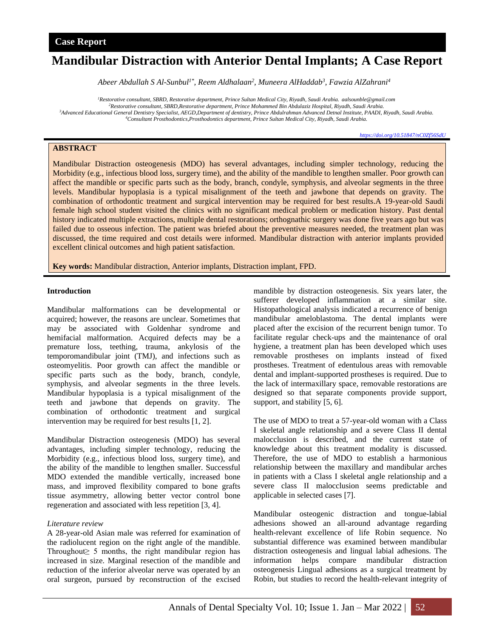# **Mandibular Distraction with Anterior Dental Implants; A Case Report**

*Abeer Abdullah S Al-Sunbul1\* , Reem Aldhalaan<sup>2</sup> , Muneera AlHaddab<sup>3</sup> , Fawzia AlZahrani<sup>4</sup>*

*Restorative consultant, SBRD, Restorative department, Prince Sultan Medical City, Riyadh, Saudi Arabia. aalsounble@gmail.com Restorative consultant, SBRD,Restorative department, Prince Mohammed Bin Abdulaziz Hospital, Riyadh, Saudi Arabia. Advanced Educational General Dentistry Specialist, AEGD,Department of dentistry, Prince Abdulrahman Advanced Detnal Institute, PAADI, Riyadh, Saudi Arabia. Consultant Prosthodontics,Prosthodontics department, Prince Sultan Medical City, Riyadh, Saudi Arabia.*

*<https://doi.org/10.51847/nC0Zf56SdU>*

# **ABSTRACT**

Mandibular Distraction osteogenesis (MDO) has several advantages, including simpler technology, reducing the Morbidity (e.g., infectious blood loss, surgery time), and the ability of the mandible to lengthen smaller. Poor growth can affect the mandible or specific parts such as the body, branch, condyle, symphysis, and alveolar segments in the three levels. Mandibular hypoplasia is a typical misalignment of the teeth and jawbone that depends on gravity. The combination of orthodontic treatment and surgical intervention may be required for best results.A 19-year-old Saudi female high school student visited the clinics with no significant medical problem or medication history. Past dental history indicated multiple extractions, multiple dental restorations; orthognathic surgery was done five years ago but was failed due to osseous infection. The patient was briefed about the preventive measures needed, the treatment plan was discussed, the time required and cost details were informed. Mandibular distraction with anterior implants provided excellent clinical outcomes and high patient satisfaction.

**Key words:** Mandibular distraction, Anterior implants, Distraction implant, FPD.

#### **Introduction**

Mandibular malformations can be developmental or acquired; however, the reasons are unclear. Sometimes that may be associated with Goldenhar syndrome and hemifacial malformation. Acquired defects may be a premature loss, teething, trauma, ankylosis of the temporomandibular joint (TMJ), and infections such as osteomyelitis. Poor growth can affect the mandible or specific parts such as the body, branch, condyle, symphysis, and alveolar segments in the three levels. Mandibular hypoplasia is a typical misalignment of the teeth and jawbone that depends on gravity. The combination of orthodontic treatment and surgical intervention may be required for best results [1, 2].

Mandibular Distraction osteogenesis (MDO) has several advantages, including simpler technology, reducing the Morbidity (e.g., infectious blood loss, surgery time), and the ability of the mandible to lengthen smaller. Successful MDO extended the mandible vertically, increased bone mass, and improved flexibility compared to bone grafts tissue asymmetry, allowing better vector control bone regeneration and associated with less repetition [3, 4].

#### *Literature review*

A 28-year-old Asian male was referred for examination of the radiolucent region on the right angle of the mandible. Throughout≥ 5 months, the right mandibular region has increased in size. Marginal resection of the mandible and reduction of the inferior alveolar nerve was operated by an oral surgeon, pursued by reconstruction of the excised mandible by distraction osteogenesis. Six years later, the sufferer developed inflammation at a similar site. Histopathological analysis indicated a recurrence of benign mandibular ameloblastoma. The dental implants were placed after the excision of the recurrent benign tumor. To facilitate regular check-ups and the maintenance of oral hygiene, a treatment plan has been developed which uses removable prostheses on implants instead of fixed prostheses. Treatment of edentulous areas with removable dental and implant-supported prostheses is required. Due to the lack of intermaxillary space, removable restorations are designed so that separate components provide support, support, and stability [5, 6].

The use of MDO to treat a 57-year-old woman with a Class I skeletal angle relationship and a severe Class II dental malocclusion is described, and the current state of knowledge about this treatment modality is discussed. Therefore, the use of MDO to establish a harmonious relationship between the maxillary and mandibular arches in patients with a Class I skeletal angle relationship and a severe class II malocclusion seems predictable and applicable in selected cases [7].

Mandibular osteogenic distraction and tongue-labial adhesions showed an all-around advantage regarding health-relevant excellence of life Robin sequence. No substantial difference was examined between mandibular distraction osteogenesis and lingual labial adhesions. The information helps compare mandibular distraction osteogenesis Lingual adhesions as a surgical treatment by Robin, but studies to record the health-relevant integrity of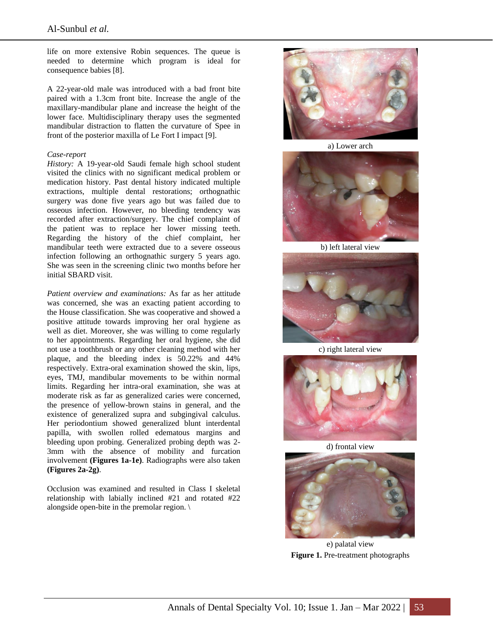life on more extensive Robin sequences. The queue is needed to determine which program is ideal for consequence babies [8].

A 22-year-old male was introduced with a bad front bite paired with a 1.3cm front bite. Increase the angle of the maxillary-mandibular plane and increase the height of the lower face. Multidisciplinary therapy uses the segmented mandibular distraction to flatten the curvature of Spee in front of the posterior maxilla of Le Fort I impact [9].

#### *Case-report*

*History:* A 19-year-old Saudi female high school student visited the clinics with no significant medical problem or medication history. Past dental history indicated multiple extractions, multiple dental restorations; orthognathic surgery was done five years ago but was failed due to osseous infection. However, no bleeding tendency was recorded after extraction/surgery. The chief complaint of the patient was to replace her lower missing teeth. Regarding the history of the chief complaint, her mandibular teeth were extracted due to a severe osseous infection following an orthognathic surgery 5 years ago. She was seen in the screening clinic two months before her initial SBARD visit.

*Patient overview and examinations:* As far as her attitude was concerned, she was an exacting patient according to the House classification. She was cooperative and showed a positive attitude towards improving her oral hygiene as well as diet. Moreover, she was willing to come regularly to her appointments. Regarding her oral hygiene, she did not use a toothbrush or any other cleaning method with her plaque, and the bleeding index is 50.22% and 44% respectively. Extra-oral examination showed the skin, lips, eyes, TMJ, mandibular movements to be within normal limits. Regarding her intra-oral examination, she was at moderate risk as far as generalized caries were concerned, the presence of yellow-brown stains in general, and the existence of generalized supra and subgingival calculus. Her periodontium showed generalized blunt interdental papilla, with swollen rolled edematous margins and bleeding upon probing. Generalized probing depth was 2- 3mm with the absence of mobility and furcation involvement **(Figures 1a-1e)**. Radiographs were also taken **(Figures 2a-2g)**.

Occlusion was examined and resulted in Class I skeletal relationship with labially inclined #21 and rotated #22 alongside open-bite in the premolar region. \



a) Lower arch



b) left lateral view



c) right lateral view



d) frontal view



e) palatal view **Figure 1.** Pre-treatment photographs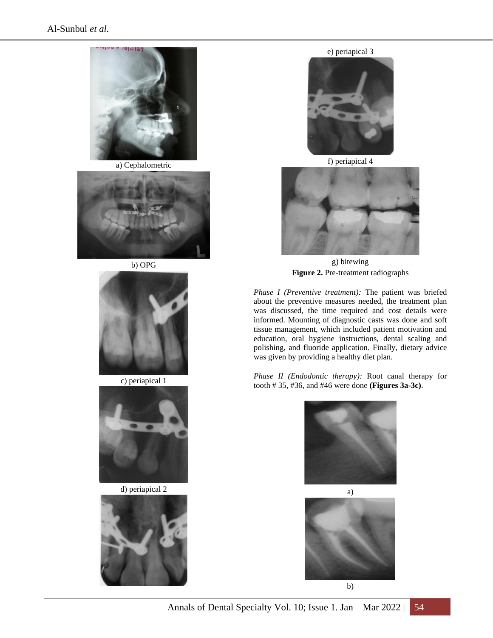

a) Cephalometric



b) OPG



c) periapical 1



d) periapical 2



e) periapical 3



f) periapical 4



g) bitewing **Figure 2.** Pre-treatment radiographs

*Phase I (Preventive treatment):* The patient was briefed about the preventive measures needed, the treatment plan was discussed, the time required and cost details were informed. Mounting of diagnostic casts was done and soft tissue management, which included patient motivation and education, oral hygiene instructions, dental scaling and polishing, and fluoride application. Finally, dietary advice was given by providing a healthy diet plan.

*Phase II (Endodontic therapy):* Root canal therapy for tooth # 35, #36, and #46 were done **(Figures 3a-3c)**.



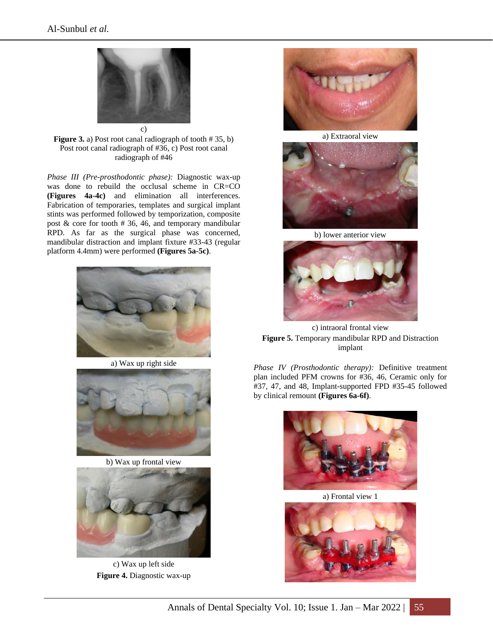

Figure 3. a) Post root canal radiograph of tooth # 35, b) Post root canal radiograph of #36, c) Post root canal radiograph of #46

*Phase III (Pre-prosthodontic phase):* Diagnostic wax-up was done to rebuild the occlusal scheme in CR=CO **(Figures 4a-4c)** and elimination all interferences. Fabrication of temporaries, templates and surgical implant stints was performed followed by temporization, composite post  $\&$  core for tooth  $# 36, 46,$  and temporary mandibular RPD. As far as the surgical phase was concerned, mandibular distraction and implant fixture #33-43 (regular platform 4.4mm) were performed **(Figures 5a-5c)**.



a) Wax up right side



b) Wax up frontal view



c) Wax up left side **Figure 4.** Diagnostic wax-up



a) Extraoral view



b) lower anterior view



c) intraoral frontal view **Figure 5.** Temporary mandibular RPD and Distraction implant

*Phase IV (Prosthodontic therapy):* Definitive treatment plan included PFM crowns for #36, 46, Ceramic only for #37, 47, and 48, Implant-supported FPD #35-45 followed by clinical remount **(Figures 6a-6f)**.



a) Frontal view 1

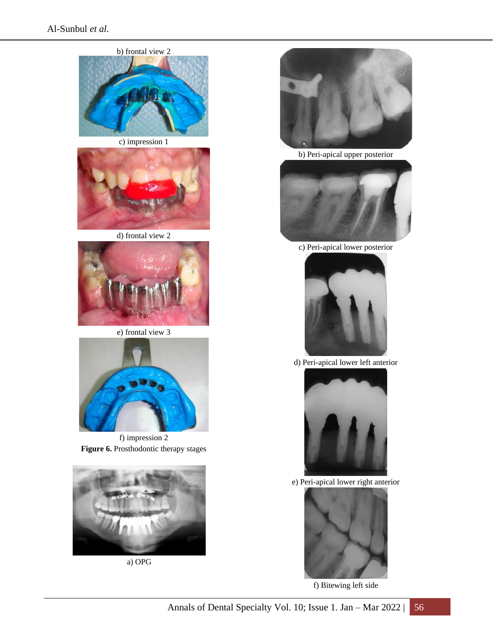

c) impression 1



d) frontal view 2



e) frontal view 3



f) impression 2 **Figure 6.** Prosthodontic therapy stages



a) OPG



b) Peri-apical upper posterior



c) Peri-apical lower posterior



d) Peri-apical lower left anterior



e) Peri-apical lower right anterior



f) Bitewing left side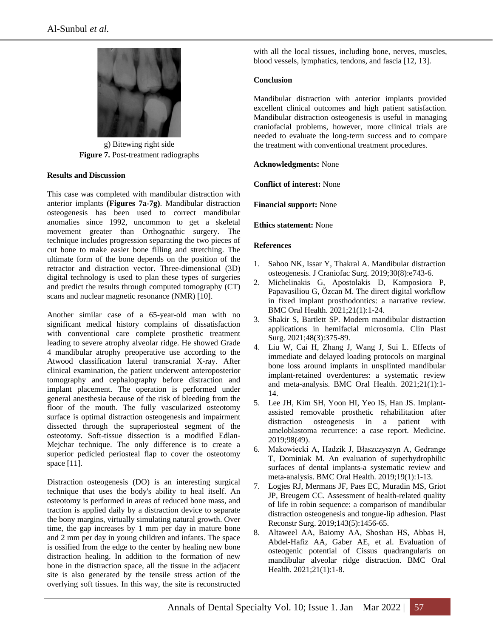

g) Bitewing right side **Figure 7.** Post-treatment radiographs

## **Results and Discussion**

This case was completed with mandibular distraction with anterior implants **(Figures 7a-7g)**. Mandibular distraction osteogenesis has been used to correct mandibular anomalies since 1992, uncommon to get a skeletal movement greater than Orthognathic surgery. The technique includes progression separating the two pieces of cut bone to make easier bone filling and stretching. The ultimate form of the bone depends on the position of the retractor and distraction vector. Three-dimensional (3D) digital technology is used to plan these types of surgeries and predict the results through computed tomography (CT) scans and nuclear magnetic resonance (NMR) [10].

Another similar case of a 65-year-old man with no significant medical history complains of dissatisfaction with conventional care complete prosthetic treatment leading to severe atrophy alveolar ridge. He showed Grade 4 mandibular atrophy preoperative use according to the Atwood classification lateral transcranial X-ray. After clinical examination, the patient underwent anteroposterior tomography and cephalography before distraction and implant placement. The operation is performed under general anesthesia because of the risk of bleeding from the floor of the mouth. The fully vascularized osteotomy surface is optimal distraction osteogenesis and impairment dissected through the supraperiosteal segment of the osteotomy. Soft-tissue dissection is a modified Edlan-Mejchar technique. The only difference is to create a superior pedicled periosteal flap to cover the osteotomy space [11].

Distraction osteogenesis (DO) is an interesting surgical technique that uses the body's ability to heal itself. An osteotomy is performed in areas of reduced bone mass, and traction is applied daily by a distraction device to separate the bony margins, virtually simulating natural growth. Over time, the gap increases by 1 mm per day in mature bone and 2 mm per day in young children and infants. The space is ossified from the edge to the center by healing new bone distraction healing. In addition to the formation of new bone in the distraction space, all the tissue in the adjacent site is also generated by the tensile stress action of the overlying soft tissues. In this way, the site is reconstructed with all the local tissues, including bone, nerves, muscles, blood vessels, lymphatics, tendons, and fascia [12, 13].

# **Conclusion**

Mandibular distraction with anterior implants provided excellent clinical outcomes and high patient satisfaction. Mandibular distraction osteogenesis is useful in managing craniofacial problems, however, more clinical trials are needed to evaluate the long-term success and to compare the treatment with conventional treatment procedures.

## **Acknowledgments:** None

**Conflict of interest:** None

**Financial support:** None

## **Ethics statement:** None

## **References**

- 1. Sahoo NK, Issar Y, Thakral A. Mandibular distraction osteogenesis. J Craniofac Surg. 2019;30(8):e743-6.
- 2. Michelinakis G, Apostolakis D, Kamposiora P, Papavasiliou G, Özcan M. The direct digital workflow in fixed implant prosthodontics: a narrative review. BMC Oral Health. 2021;21(1):1-24.
- 3. Shakir S, Bartlett SP. Modern mandibular distraction applications in hemifacial microsomia. Clin Plast Surg. 2021;48(3):375-89.
- 4. Liu W, Cai H, Zhang J, Wang J, Sui L. Effects of immediate and delayed loading protocols on marginal bone loss around implants in unsplinted mandibular implant-retained overdentures: a systematic review and meta-analysis. BMC Oral Health. 2021;21(1):1- 14.
- 5. Lee JH, Kim SH, Yoon HI, Yeo IS, Han JS. Implantassisted removable prosthetic rehabilitation after distraction osteogenesis in a patient with ameloblastoma recurrence: a case report. Medicine. 2019;98(49).
- 6. Makowiecki A, Hadzik J, Błaszczyszyn A, Gedrange T, Dominiak M. An evaluation of superhydrophilic surfaces of dental implants-a systematic review and meta-analysis. BMC Oral Health. 2019;19(1):1-13.
- 7. Logjes RJ, Mermans JF, Paes EC, Muradin MS, Griot JP, Breugem CC. Assessment of health-related quality of life in robin sequence: a comparison of mandibular distraction osteogenesis and tongue-lip adhesion. Plast Reconstr Surg. 2019;143(5):1456-65.
- 8. Altaweel AA, Baiomy AA, Shoshan HS, Abbas H, Abdel-Hafiz AA, Gaber AE, et al. Evaluation of osteogenic potential of Cissus quadrangularis on mandibular alveolar ridge distraction. BMC Oral Health. 2021;21(1):1-8.